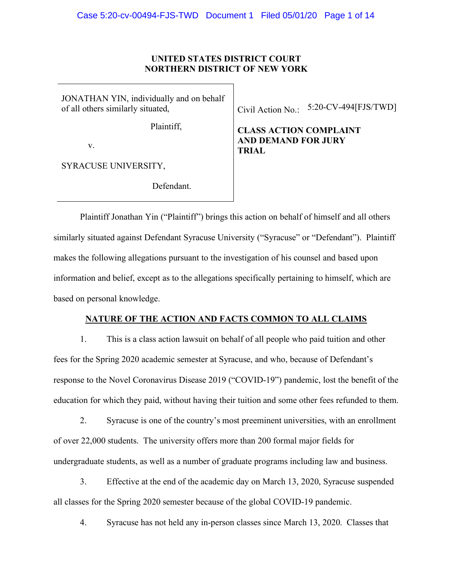### **UNITED STATES DISTRICT COURT NORTHERN DISTRICT OF NEW YORK**

JONATHAN YIN, individually and on behalf of all others similarly situated,

Plaintiff,

v.

SYRACUSE UNIVERSITY,

Defendant.

Civil Action No.: 5:20-CV-494[FJS/TWD]

**CLASS ACTION COMPLAINT AND DEMAND FOR JURY TRIAL**

Plaintiff Jonathan Yin ("Plaintiff") brings this action on behalf of himself and all others similarly situated against Defendant Syracuse University ("Syracuse" or "Defendant"). Plaintiff makes the following allegations pursuant to the investigation of his counsel and based upon information and belief, except as to the allegations specifically pertaining to himself, which are based on personal knowledge.

# **NATURE OF THE ACTION AND FACTS COMMON TO ALL CLAIMS**

1. This is a class action lawsuit on behalf of all people who paid tuition and other fees for the Spring 2020 academic semester at Syracuse, and who, because of Defendant's response to the Novel Coronavirus Disease 2019 ("COVID-19") pandemic, lost the benefit of the education for which they paid, without having their tuition and some other fees refunded to them.

2. Syracuse is one of the country's most preeminent universities, with an enrollment of over 22,000 students. The university offers more than 200 formal major fields for undergraduate students, as well as a number of graduate programs including law and business.

3. Effective at the end of the academic day on March 13, 2020, Syracuse suspended all classes for the Spring 2020 semester because of the global COVID-19 pandemic.

4. Syracuse has not held any in-person classes since March 13, 2020. Classes that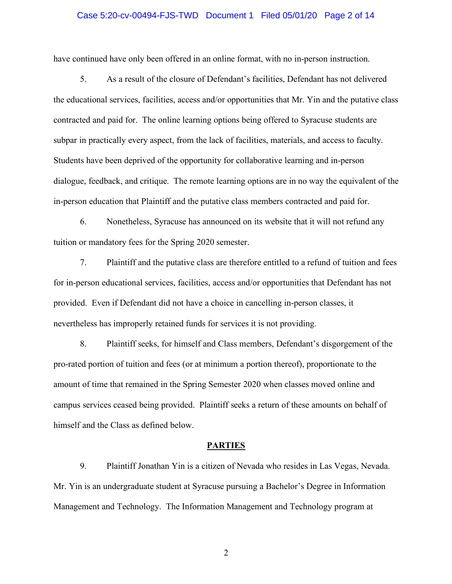#### Case 5:20-cv-00494-FJS-TWD Document 1 Filed 05/01/20 Page 2 of 14

have continued have only been offered in an online format, with no in-person instruction.

5. As a result of the closure of Defendant's facilities, Defendant has not delivered the educational services, facilities, access and/or opportunities that Mr. Yin and the putative class contracted and paid for. The online learning options being offered to Syracuse students are subpar in practically every aspect, from the lack of facilities, materials, and access to faculty. Students have been deprived of the opportunity for collaborative learning and in-person dialogue, feedback, and critique. The remote learning options are in no way the equivalent of the in-person education that Plaintiff and the putative class members contracted and paid for.

6. Nonetheless, Syracuse has announced on its website that it will not refund any tuition or mandatory fees for the Spring 2020 semester.

7. Plaintiff and the putative class are therefore entitled to a refund of tuition and fees for in-person educational services, facilities, access and/or opportunities that Defendant has not provided. Even if Defendant did not have a choice in cancelling in-person classes, it nevertheless has improperly retained funds for services it is not providing.

8. Plaintiff seeks, for himself and Class members, Defendant's disgorgement of the pro-rated portion of tuition and fees (or at minimum a portion thereof), proportionate to the amount of time that remained in the Spring Semester 2020 when classes moved online and campus services ceased being provided. Plaintiff seeks a return of these amounts on behalf of himself and the Class as defined below.

#### **PARTIES**

9. Plaintiff Jonathan Yin is a citizen of Nevada who resides in Las Vegas, Nevada. Mr. Yin is an undergraduate student at Syracuse pursuing a Bachelor's Degree in Information Management and Technology. The Information Management and Technology program at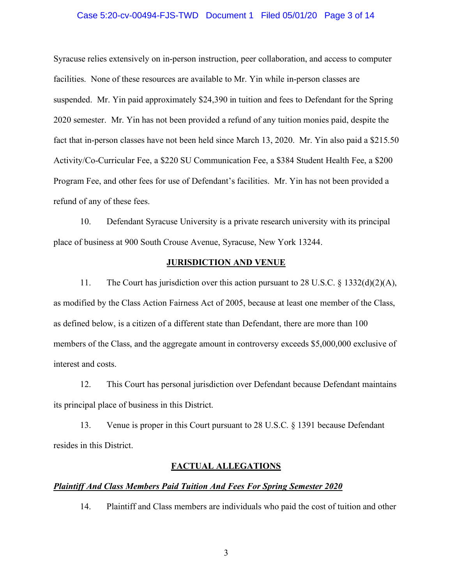#### Case 5:20-cv-00494-FJS-TWD Document 1 Filed 05/01/20 Page 3 of 14

Syracuse relies extensively on in-person instruction, peer collaboration, and access to computer facilities. None of these resources are available to Mr. Yin while in-person classes are suspended. Mr. Yin paid approximately \$24,390 in tuition and fees to Defendant for the Spring 2020 semester. Mr. Yin has not been provided a refund of any tuition monies paid, despite the fact that in-person classes have not been held since March 13, 2020. Mr. Yin also paid a \$215.50 Activity/Co-Curricular Fee, a \$220 SU Communication Fee, a \$384 Student Health Fee, a \$200 Program Fee, and other fees for use of Defendant's facilities. Mr. Yin has not been provided a refund of any of these fees.

10. Defendant Syracuse University is a private research university with its principal place of business at 900 South Crouse Avenue, Syracuse, New York 13244.

#### **JURISDICTION AND VENUE**

11. The Court has jurisdiction over this action pursuant to 28 U.S.C. § 1332(d)(2)(A), as modified by the Class Action Fairness Act of 2005, because at least one member of the Class, as defined below, is a citizen of a different state than Defendant, there are more than 100 members of the Class, and the aggregate amount in controversy exceeds \$5,000,000 exclusive of interest and costs.

12. This Court has personal jurisdiction over Defendant because Defendant maintains its principal place of business in this District.

13. Venue is proper in this Court pursuant to 28 U.S.C. § 1391 because Defendant resides in this District.

#### **FACTUAL ALLEGATIONS**

#### *Plaintiff And Class Members Paid Tuition And Fees For Spring Semester 2020*

14. Plaintiff and Class members are individuals who paid the cost of tuition and other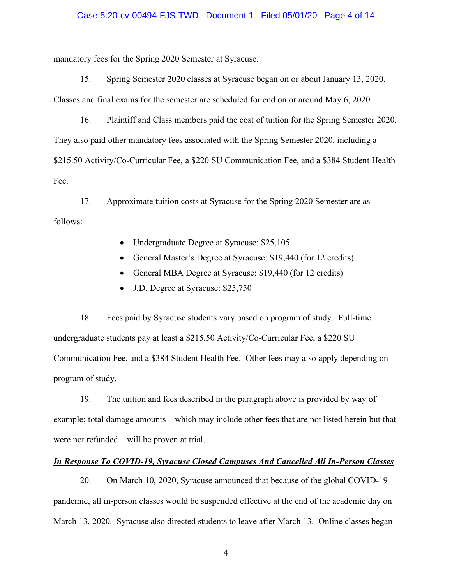#### Case 5:20-cv-00494-FJS-TWD Document 1 Filed 05/01/20 Page 4 of 14

mandatory fees for the Spring 2020 Semester at Syracuse.

15. Spring Semester 2020 classes at Syracuse began on or about January 13, 2020. Classes and final exams for the semester are scheduled for end on or around May 6, 2020.

16. Plaintiff and Class members paid the cost of tuition for the Spring Semester 2020. They also paid other mandatory fees associated with the Spring Semester 2020, including a \$215.50 Activity/Co-Curricular Fee, a \$220 SU Communication Fee, and a \$384 Student Health Fee.

17. Approximate tuition costs at Syracuse for the Spring 2020 Semester are as follows:

- Undergraduate Degree at Syracuse: \$25,105
- General Master's Degree at Syracuse: \$19,440 (for 12 credits)
- General MBA Degree at Syracuse: \$19,440 (for 12 credits)
- J.D. Degree at Syracuse: \$25,750

18. Fees paid by Syracuse students vary based on program of study. Full-time undergraduate students pay at least a \$215.50 Activity/Co-Curricular Fee, a \$220 SU Communication Fee, and a \$384 Student Health Fee. Other fees may also apply depending on program of study.

19. The tuition and fees described in the paragraph above is provided by way of example; total damage amounts – which may include other fees that are not listed herein but that were not refunded – will be proven at trial.

#### *In Response To COVID-19, Syracuse Closed Campuses And Cancelled All In-Person Classes*

20. On March 10, 2020, Syracuse announced that because of the global COVID-19 pandemic, all in-person classes would be suspended effective at the end of the academic day on March 13, 2020. Syracuse also directed students to leave after March 13. Online classes began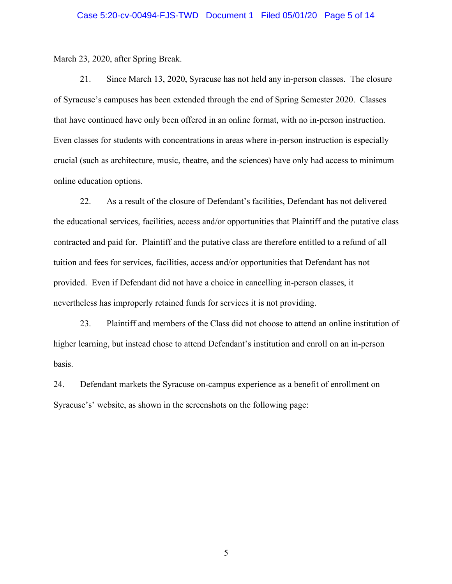#### Case 5:20-cv-00494-FJS-TWD Document 1 Filed 05/01/20 Page 5 of 14

March 23, 2020, after Spring Break.

21. Since March 13, 2020, Syracuse has not held any in-person classes. The closure of Syracuse's campuses has been extended through the end of Spring Semester 2020. Classes that have continued have only been offered in an online format, with no in-person instruction. Even classes for students with concentrations in areas where in-person instruction is especially crucial (such as architecture, music, theatre, and the sciences) have only had access to minimum online education options.

22. As a result of the closure of Defendant's facilities, Defendant has not delivered the educational services, facilities, access and/or opportunities that Plaintiff and the putative class contracted and paid for. Plaintiff and the putative class are therefore entitled to a refund of all tuition and fees for services, facilities, access and/or opportunities that Defendant has not provided. Even if Defendant did not have a choice in cancelling in-person classes, it nevertheless has improperly retained funds for services it is not providing.

23. Plaintiff and members of the Class did not choose to attend an online institution of higher learning, but instead chose to attend Defendant's institution and enroll on an in-person basis.

24. Defendant markets the Syracuse on-campus experience as a benefit of enrollment on Syracuse's' website, as shown in the screenshots on the following page: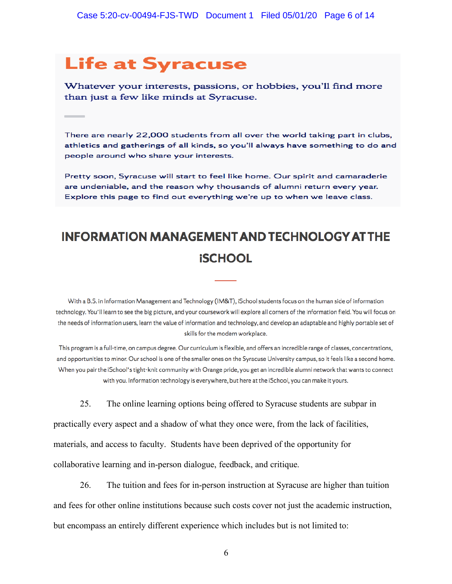# **Life at Syracuse**

Whatever your interests, passions, or hobbies, you'll find more than just a few like minds at Syracuse.

There are nearly 22,000 students from all over the world taking part in clubs, athletics and gatherings of all kinds, so you'll always have something to do and people around who share your interests.

Pretty soon, Syracuse will start to feel like home. Our spirit and camaraderie are undeniable, and the reason why thousands of alumni return every year. Explore this page to find out everything we're up to when we leave class.

# **INFORMATION MANAGEMENT AND TECHNOLOGY AT THE iSCHOOL**

With a B.S. in Information Management and Technology (IM&T), iSchool students focus on the human side of information technology. You'll learn to see the big picture, and your coursework will explore all corners of the information field. You will focus on the needs of information users, learn the value of information and technology, and develop an adaptable and highly portable set of skills for the modern workplace.

This program is a full-time, on campus degree. Our curriculum is flexible, and offers an incredible range of classes, concentrations, and opportunities to minor. Our school is one of the smaller ones on the Syracuse University campus, so it feels like a second home. When you pair the iSchool's tight-knit community with Orange pride, you get an incredible alumni network that wants to connect with you. Information technology is everywhere, but here at the iSchool, you can make it yours.

25. The online learning options being offered to Syracuse students are subpar in

practically every aspect and a shadow of what they once were, from the lack of facilities, materials, and access to faculty. Students have been deprived of the opportunity for collaborative learning and in-person dialogue, feedback, and critique.

26. The tuition and fees for in-person instruction at Syracuse are higher than tuition and fees for other online institutions because such costs cover not just the academic instruction, but encompass an entirely different experience which includes but is not limited to: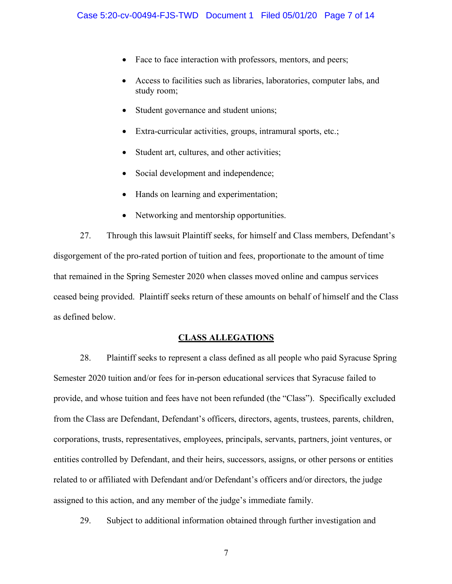- Face to face interaction with professors, mentors, and peers;
- Access to facilities such as libraries, laboratories, computer labs, and study room;
- Student governance and student unions;
- Extra-curricular activities, groups, intramural sports, etc.;
- Student art, cultures, and other activities;
- Social development and independence;
- Hands on learning and experimentation;
- Networking and mentorship opportunities.

27. Through this lawsuit Plaintiff seeks, for himself and Class members, Defendant's disgorgement of the pro-rated portion of tuition and fees, proportionate to the amount of time that remained in the Spring Semester 2020 when classes moved online and campus services ceased being provided. Plaintiff seeks return of these amounts on behalf of himself and the Class as defined below.

### **CLASS ALLEGATIONS**

28. Plaintiff seeks to represent a class defined as all people who paid Syracuse Spring Semester 2020 tuition and/or fees for in-person educational services that Syracuse failed to provide, and whose tuition and fees have not been refunded (the "Class"). Specifically excluded from the Class are Defendant, Defendant's officers, directors, agents, trustees, parents, children, corporations, trusts, representatives, employees, principals, servants, partners, joint ventures, or entities controlled by Defendant, and their heirs, successors, assigns, or other persons or entities related to or affiliated with Defendant and/or Defendant's officers and/or directors, the judge assigned to this action, and any member of the judge's immediate family.

29. Subject to additional information obtained through further investigation and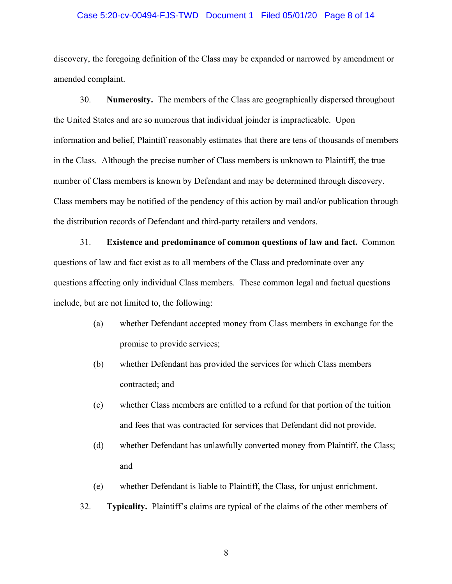# Case 5:20-cv-00494-FJS-TWD Document 1 Filed 05/01/20 Page 8 of 14

discovery, the foregoing definition of the Class may be expanded or narrowed by amendment or amended complaint.

30. **Numerosity.** The members of the Class are geographically dispersed throughout the United States and are so numerous that individual joinder is impracticable. Upon information and belief, Plaintiff reasonably estimates that there are tens of thousands of members in the Class. Although the precise number of Class members is unknown to Plaintiff, the true number of Class members is known by Defendant and may be determined through discovery. Class members may be notified of the pendency of this action by mail and/or publication through the distribution records of Defendant and third-party retailers and vendors.

31. **Existence and predominance of common questions of law and fact.** Common questions of law and fact exist as to all members of the Class and predominate over any questions affecting only individual Class members. These common legal and factual questions include, but are not limited to, the following:

- (a) whether Defendant accepted money from Class members in exchange for the promise to provide services;
- (b) whether Defendant has provided the services for which Class members contracted; and
- (c) whether Class members are entitled to a refund for that portion of the tuition and fees that was contracted for services that Defendant did not provide.
- (d) whether Defendant has unlawfully converted money from Plaintiff, the Class; and
- (e) whether Defendant is liable to Plaintiff, the Class, for unjust enrichment.
- 32. **Typicality.** Plaintiff's claims are typical of the claims of the other members of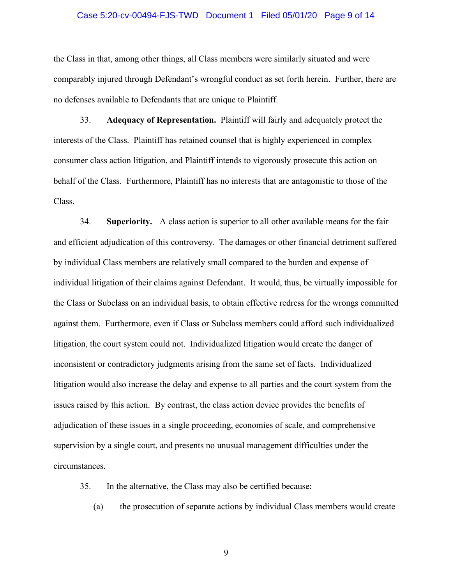#### Case 5:20-cv-00494-FJS-TWD Document 1 Filed 05/01/20 Page 9 of 14

the Class in that, among other things, all Class members were similarly situated and were comparably injured through Defendant's wrongful conduct as set forth herein. Further, there are no defenses available to Defendants that are unique to Plaintiff.

33. **Adequacy of Representation.** Plaintiff will fairly and adequately protect the interests of the Class. Plaintiff has retained counsel that is highly experienced in complex consumer class action litigation, and Plaintiff intends to vigorously prosecute this action on behalf of the Class. Furthermore, Plaintiff has no interests that are antagonistic to those of the Class.

34. **Superiority.** A class action is superior to all other available means for the fair and efficient adjudication of this controversy. The damages or other financial detriment suffered by individual Class members are relatively small compared to the burden and expense of individual litigation of their claims against Defendant. It would, thus, be virtually impossible for the Class or Subclass on an individual basis, to obtain effective redress for the wrongs committed against them. Furthermore, even if Class or Subclass members could afford such individualized litigation, the court system could not. Individualized litigation would create the danger of inconsistent or contradictory judgments arising from the same set of facts. Individualized litigation would also increase the delay and expense to all parties and the court system from the issues raised by this action. By contrast, the class action device provides the benefits of adjudication of these issues in a single proceeding, economies of scale, and comprehensive supervision by a single court, and presents no unusual management difficulties under the circumstances.

35. In the alternative, the Class may also be certified because:

(a) the prosecution of separate actions by individual Class members would create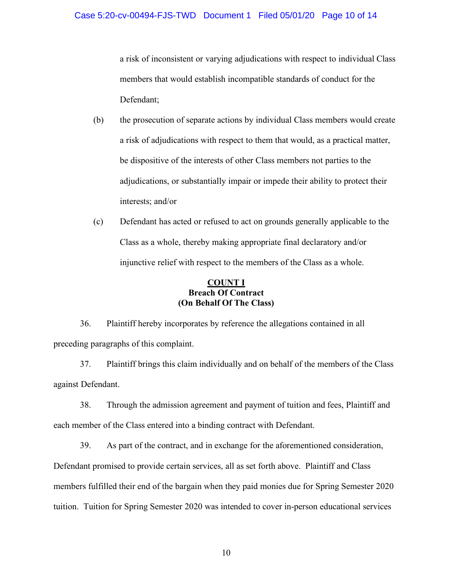a risk of inconsistent or varying adjudications with respect to individual Class members that would establish incompatible standards of conduct for the Defendant;

- (b) the prosecution of separate actions by individual Class members would create a risk of adjudications with respect to them that would, as a practical matter, be dispositive of the interests of other Class members not parties to the adjudications, or substantially impair or impede their ability to protect their interests; and/or
- (c) Defendant has acted or refused to act on grounds generally applicable to the Class as a whole, thereby making appropriate final declaratory and/or injunctive relief with respect to the members of the Class as a whole.

# **COUNT I Breach Of Contract (On Behalf Of The Class)**

36. Plaintiff hereby incorporates by reference the allegations contained in all preceding paragraphs of this complaint.

37. Plaintiff brings this claim individually and on behalf of the members of the Class against Defendant.

38. Through the admission agreement and payment of tuition and fees, Plaintiff and each member of the Class entered into a binding contract with Defendant.

39. As part of the contract, and in exchange for the aforementioned consideration, Defendant promised to provide certain services, all as set forth above. Plaintiff and Class members fulfilled their end of the bargain when they paid monies due for Spring Semester 2020 tuition. Tuition for Spring Semester 2020 was intended to cover in-person educational services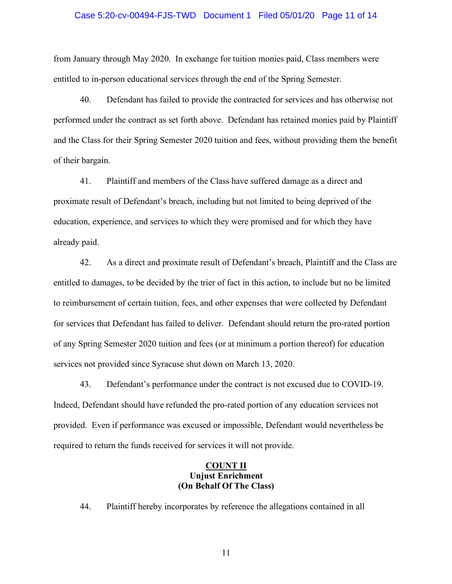# Case 5:20-cv-00494-FJS-TWD Document 1 Filed 05/01/20 Page 11 of 14

from January through May 2020. In exchange for tuition monies paid, Class members were entitled to in-person educational services through the end of the Spring Semester.

40. Defendant has failed to provide the contracted for services and has otherwise not performed under the contract as set forth above. Defendant has retained monies paid by Plaintiff and the Class for their Spring Semester 2020 tuition and fees, without providing them the benefit of their bargain.

41. Plaintiff and members of the Class have suffered damage as a direct and proximate result of Defendant's breach, including but not limited to being deprived of the education, experience, and services to which they were promised and for which they have already paid.

42. As a direct and proximate result of Defendant's breach, Plaintiff and the Class are entitled to damages, to be decided by the trier of fact in this action, to include but no be limited to reimbursement of certain tuition, fees, and other expenses that were collected by Defendant for services that Defendant has failed to deliver. Defendant should return the pro-rated portion of any Spring Semester 2020 tuition and fees (or at minimum a portion thereof) for education services not provided since Syracuse shut down on March 13, 2020.

43. Defendant's performance under the contract is not excused due to COVID-19. Indeed, Defendant should have refunded the pro-rated portion of any education services not provided. Even if performance was excused or impossible, Defendant would nevertheless be required to return the funds received for services it will not provide.

### **COUNT II Unjust Enrichment (On Behalf Of The Class)**

44. Plaintiff hereby incorporates by reference the allegations contained in all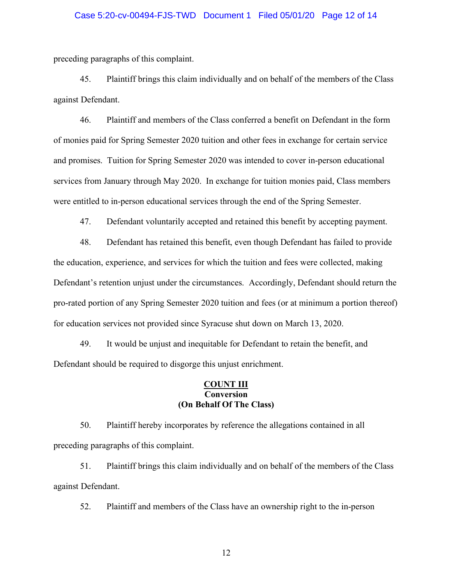# Case 5:20-cv-00494-FJS-TWD Document 1 Filed 05/01/20 Page 12 of 14

preceding paragraphs of this complaint.

45. Plaintiff brings this claim individually and on behalf of the members of the Class against Defendant.

46. Plaintiff and members of the Class conferred a benefit on Defendant in the form of monies paid for Spring Semester 2020 tuition and other fees in exchange for certain service and promises. Tuition for Spring Semester 2020 was intended to cover in-person educational services from January through May 2020. In exchange for tuition monies paid, Class members were entitled to in-person educational services through the end of the Spring Semester.

47. Defendant voluntarily accepted and retained this benefit by accepting payment.

48. Defendant has retained this benefit, even though Defendant has failed to provide the education, experience, and services for which the tuition and fees were collected, making Defendant's retention unjust under the circumstances. Accordingly, Defendant should return the pro-rated portion of any Spring Semester 2020 tuition and fees (or at minimum a portion thereof) for education services not provided since Syracuse shut down on March 13, 2020.

49. It would be unjust and inequitable for Defendant to retain the benefit, and Defendant should be required to disgorge this unjust enrichment.

#### **COUNT III Conversion (On Behalf Of The Class)**

50. Plaintiff hereby incorporates by reference the allegations contained in all preceding paragraphs of this complaint.

51. Plaintiff brings this claim individually and on behalf of the members of the Class against Defendant.

52. Plaintiff and members of the Class have an ownership right to the in-person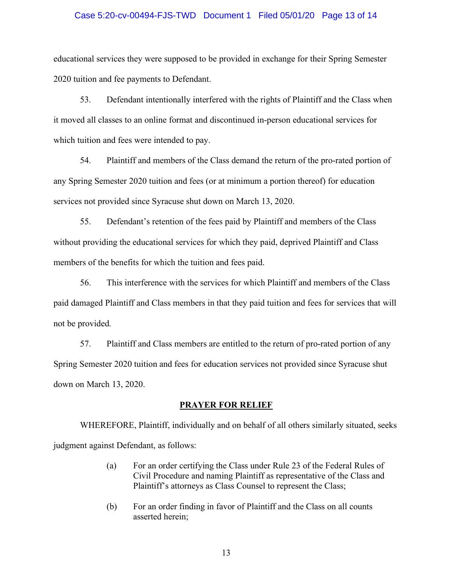#### Case 5:20-cv-00494-FJS-TWD Document 1 Filed 05/01/20 Page 13 of 14

educational services they were supposed to be provided in exchange for their Spring Semester 2020 tuition and fee payments to Defendant.

53. Defendant intentionally interfered with the rights of Plaintiff and the Class when it moved all classes to an online format and discontinued in-person educational services for which tuition and fees were intended to pay.

54. Plaintiff and members of the Class demand the return of the pro-rated portion of any Spring Semester 2020 tuition and fees (or at minimum a portion thereof) for education services not provided since Syracuse shut down on March 13, 2020.

55. Defendant's retention of the fees paid by Plaintiff and members of the Class without providing the educational services for which they paid, deprived Plaintiff and Class members of the benefits for which the tuition and fees paid.

56. This interference with the services for which Plaintiff and members of the Class paid damaged Plaintiff and Class members in that they paid tuition and fees for services that will not be provided.

57. Plaintiff and Class members are entitled to the return of pro-rated portion of any Spring Semester 2020 tuition and fees for education services not provided since Syracuse shut down on March 13, 2020.

#### **PRAYER FOR RELIEF**

WHEREFORE, Plaintiff, individually and on behalf of all others similarly situated, seeks judgment against Defendant, as follows:

- (a) For an order certifying the Class under Rule 23 of the Federal Rules of Civil Procedure and naming Plaintiff as representative of the Class and Plaintiff's attorneys as Class Counsel to represent the Class;
- (b) For an order finding in favor of Plaintiff and the Class on all counts asserted herein;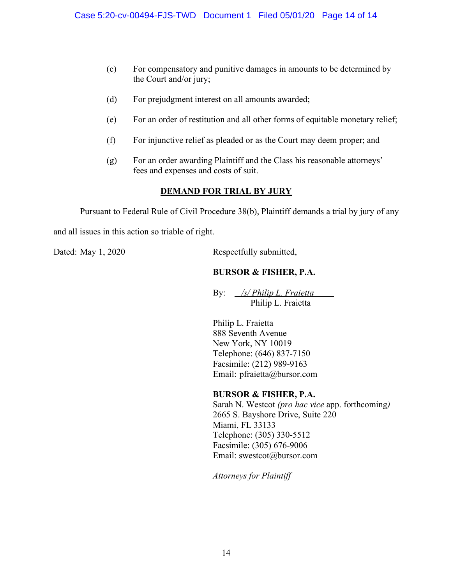- (c) For compensatory and punitive damages in amounts to be determined by the Court and/or jury;
- (d) For prejudgment interest on all amounts awarded;
- (e) For an order of restitution and all other forms of equitable monetary relief;
- (f) For injunctive relief as pleaded or as the Court may deem proper; and
- (g) For an order awarding Plaintiff and the Class his reasonable attorneys' fees and expenses and costs of suit.

# **DEMAND FOR TRIAL BY JURY**

Pursuant to Federal Rule of Civil Procedure 38(b), Plaintiff demands a trial by jury of any

and all issues in this action so triable of right.

Dated: May 1, 2020 Respectfully submitted,

# **BURSOR & FISHER, P.A.**

By: */s/ Philip L. Fraietta* Philip L. Fraietta

Philip L. Fraietta 888 Seventh Avenue New York, NY 10019 Telephone: (646) 837-7150 Facsimile: (212) 989-9163 Email: pfraietta@bursor.com

# **BURSOR & FISHER, P.A.**

Sarah N. Westcot *(pro hac vice* app. forthcoming*)* 2665 S. Bayshore Drive, Suite 220 Miami, FL 33133 Telephone: (305) 330-5512 Facsimile: (305) 676-9006 Email: swestcot@bursor.com

*Attorneys for Plaintiff*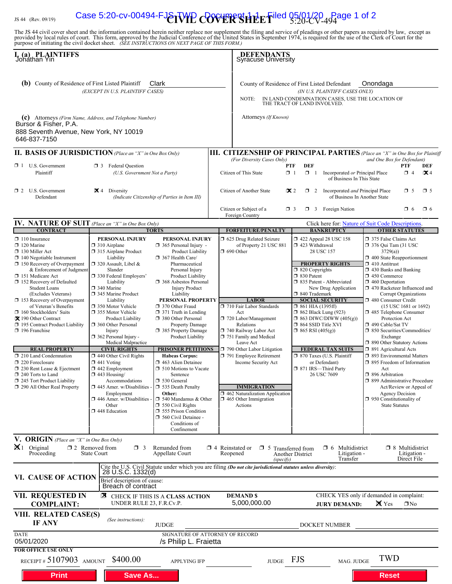# JS 44 (Rev. 09/19) **Case 5:20-cv-00494-FJ** $\delta$ **TVIP COVER SHEET**iled 05/01/20 Page 1 of 2

The JS 44 civil cover sheet and the information contained herein neither replace nor supplement the filing and service of pleadings or other papers as required by law, except as provided by local rules of court. This form,

| I. (a) PLAINTIFFS<br>Jonathan Yin<br><b>(b)</b> County of Residence of First Listed Plaintiff<br>Clark<br>(EXCEPT IN U.S. PLAINTIFF CASES)<br>(c) Attorneys (Firm Name, Address, and Telephone Number)<br>Bursor & Fisher, P.A.<br>888 Seventh Avenue, New York, NY 10019<br>646-837-7150                                                                                                                                                                                                                                                                                                                                                 |                                                                                                                                                                                                                                                                                                                                                                                                                                                                                                                                                                                                                                       |                                                                                                                                                                                                                                                                                                                                                                                                                                                                                                                                                                                                                                                                                                            |                                    | <b>DEFENDANTS</b><br>Syracuse University                                                                                                                                                                                                                                                                                                                                                                                                         |                                                                                                                                                                                                                                                                                                                                                                                                                                                                                                 |                                                                                  |                                                                                                                                                                                                                                                                                                                                                                                                                                                                                                                                                                                                                                                                                                                                                                              |                                                       |                       |
|-------------------------------------------------------------------------------------------------------------------------------------------------------------------------------------------------------------------------------------------------------------------------------------------------------------------------------------------------------------------------------------------------------------------------------------------------------------------------------------------------------------------------------------------------------------------------------------------------------------------------------------------|---------------------------------------------------------------------------------------------------------------------------------------------------------------------------------------------------------------------------------------------------------------------------------------------------------------------------------------------------------------------------------------------------------------------------------------------------------------------------------------------------------------------------------------------------------------------------------------------------------------------------------------|------------------------------------------------------------------------------------------------------------------------------------------------------------------------------------------------------------------------------------------------------------------------------------------------------------------------------------------------------------------------------------------------------------------------------------------------------------------------------------------------------------------------------------------------------------------------------------------------------------------------------------------------------------------------------------------------------------|------------------------------------|--------------------------------------------------------------------------------------------------------------------------------------------------------------------------------------------------------------------------------------------------------------------------------------------------------------------------------------------------------------------------------------------------------------------------------------------------|-------------------------------------------------------------------------------------------------------------------------------------------------------------------------------------------------------------------------------------------------------------------------------------------------------------------------------------------------------------------------------------------------------------------------------------------------------------------------------------------------|----------------------------------------------------------------------------------|------------------------------------------------------------------------------------------------------------------------------------------------------------------------------------------------------------------------------------------------------------------------------------------------------------------------------------------------------------------------------------------------------------------------------------------------------------------------------------------------------------------------------------------------------------------------------------------------------------------------------------------------------------------------------------------------------------------------------------------------------------------------------|-------------------------------------------------------|-----------------------|
|                                                                                                                                                                                                                                                                                                                                                                                                                                                                                                                                                                                                                                           |                                                                                                                                                                                                                                                                                                                                                                                                                                                                                                                                                                                                                                       |                                                                                                                                                                                                                                                                                                                                                                                                                                                                                                                                                                                                                                                                                                            |                                    | County of Residence of First Listed Defendant<br>Onondaga<br>(IN U.S. PLAINTIFF CASES ONLY)<br>IN LAND CONDEMNATION CASES, USE THE LOCATION OF<br>NOTE:<br>THE TRACT OF LAND INVOLVED.<br>Attorneys (If Known)                                                                                                                                                                                                                                   |                                                                                                                                                                                                                                                                                                                                                                                                                                                                                                 |                                                                                  |                                                                                                                                                                                                                                                                                                                                                                                                                                                                                                                                                                                                                                                                                                                                                                              |                                                       |                       |
| <b>II. BASIS OF JURISDICTION</b> (Place an "X" in One Box Only)                                                                                                                                                                                                                                                                                                                                                                                                                                                                                                                                                                           |                                                                                                                                                                                                                                                                                                                                                                                                                                                                                                                                                                                                                                       |                                                                                                                                                                                                                                                                                                                                                                                                                                                                                                                                                                                                                                                                                                            |                                    | <b>III. CITIZENSHIP OF PRINCIPAL PARTIES</b> (Place an "X" in One Box for Plaintiff                                                                                                                                                                                                                                                                                                                                                              |                                                                                                                                                                                                                                                                                                                                                                                                                                                                                                 |                                                                                  |                                                                                                                                                                                                                                                                                                                                                                                                                                                                                                                                                                                                                                                                                                                                                                              |                                                       |                       |
| $\Box$ 1 U.S. Government<br>Plaintiff                                                                                                                                                                                                                                                                                                                                                                                                                                                                                                                                                                                                     | <b>3</b> Federal Question<br>(U.S. Government Not a Party)                                                                                                                                                                                                                                                                                                                                                                                                                                                                                                                                                                            |                                                                                                                                                                                                                                                                                                                                                                                                                                                                                                                                                                                                                                                                                                            |                                    | (For Diversity Cases Only)<br>Citizen of This State                                                                                                                                                                                                                                                                                                                                                                                              | <b>DEF</b><br>PTF<br>$\Box$ 1<br>$\Box$ 1                                                                                                                                                                                                                                                                                                                                                                                                                                                       | Incorporated or Principal Place<br>of Business In This State                     | and One Box for Defendant)                                                                                                                                                                                                                                                                                                                                                                                                                                                                                                                                                                                                                                                                                                                                                   | <b>PTF</b><br>$\Box$ 4                                | DEF<br>$\mathbf{X}$ 4 |
| $\Box$ 2 U.S. Government<br>Defendant                                                                                                                                                                                                                                                                                                                                                                                                                                                                                                                                                                                                     | $\mathbf{X}$ 4 Diversity<br>(Indicate Citizenship of Parties in Item III)                                                                                                                                                                                                                                                                                                                                                                                                                                                                                                                                                             |                                                                                                                                                                                                                                                                                                                                                                                                                                                                                                                                                                                                                                                                                                            |                                    | Citizen of Another State<br>$\propto$ 2                                                                                                                                                                                                                                                                                                                                                                                                          |                                                                                                                                                                                                                                                                                                                                                                                                                                                                                                 | $\Box$ 2 Incorporated <i>and</i> Principal Place<br>of Business In Another State |                                                                                                                                                                                                                                                                                                                                                                                                                                                                                                                                                                                                                                                                                                                                                                              | $\Box$ 5                                              | $\square$ 5           |
|                                                                                                                                                                                                                                                                                                                                                                                                                                                                                                                                                                                                                                           |                                                                                                                                                                                                                                                                                                                                                                                                                                                                                                                                                                                                                                       |                                                                                                                                                                                                                                                                                                                                                                                                                                                                                                                                                                                                                                                                                                            |                                    | Citizen or Subject of a<br>Foreign Country                                                                                                                                                                                                                                                                                                                                                                                                       | $\Box$ 3                                                                                                                                                                                                                                                                                                                                                                                                                                                                                        | $\Box$ 3 Foreign Nation                                                          |                                                                                                                                                                                                                                                                                                                                                                                                                                                                                                                                                                                                                                                                                                                                                                              | $\Box$ 6                                              | $\Box$ 6              |
| <b>CONTRACT</b>                                                                                                                                                                                                                                                                                                                                                                                                                                                                                                                                                                                                                           | IV. NATURE OF SUIT (Place an "X" in One Box Only)<br><b>TORTS</b>                                                                                                                                                                                                                                                                                                                                                                                                                                                                                                                                                                     |                                                                                                                                                                                                                                                                                                                                                                                                                                                                                                                                                                                                                                                                                                            |                                    |                                                                                                                                                                                                                                                                                                                                                                                                                                                  |                                                                                                                                                                                                                                                                                                                                                                                                                                                                                                 | <b>BANKRUPTCY</b>                                                                | Click here for: Nature of Suit Code Descriptions.                                                                                                                                                                                                                                                                                                                                                                                                                                                                                                                                                                                                                                                                                                                            |                                                       |                       |
| $\Box$ 110 Insurance<br>$\Box$ 120 Marine<br>130 Miller Act<br>$\Box$ 140 Negotiable Instrument<br>$\Box$ 150 Recovery of Overpayment<br>& Enforcement of Judgment<br>151 Medicare Act<br>152 Recovery of Defaulted<br><b>Student Loans</b><br>(Excludes Veterans)<br>$\Box$ 153 Recovery of Overpayment<br>of Veteran's Benefits<br>160 Stockholders' Suits<br>X 190 Other Contract<br>195 Contract Product Liability<br>$\Box$ 196 Franchise<br><b>REAL PROPERTY</b><br>210 Land Condemnation<br>220 Foreclosure<br>$\Box$ 230 Rent Lease & Ejectment<br>240 Torts to Land<br>245 Tort Product Liability<br>290 All Other Real Property | PERSONAL INJURY<br>$\Box$ 310 Airplane<br>□ 315 Airplane Product<br>Liability<br>□ 320 Assault, Libel &<br>Slander<br>□ 330 Federal Employers'<br>Liability<br>□ 340 Marine<br>345 Marine Product<br>Liability<br>□ 350 Motor Vehicle<br>□ 355 Motor Vehicle<br>Product Liability<br><b>360 Other Personal</b><br>Injury<br>$\Box$ 362 Personal Injury -<br>Medical Malpractice<br><b>CIVIL RIGHTS</b><br>440 Other Civil Rights<br>$\Box$ 441 Voting<br>$\Box$ 442 Employment<br>$\Box$ 443 Housing/<br>Accommodations<br>$\square$ 445 Amer. w/Disabilities -<br>Employment<br>446 Amer. w/Disabilities -<br>Other<br>448 Education | PERSONAL INJURY<br>$\Box$ 365 Personal Injury -<br>Product Liability<br>$\Box$ 367 Health Care/<br>Pharmaceutical<br>Personal Injury<br>Product Liability<br>□ 368 Asbestos Personal<br><b>Injury Product</b><br>Liability<br>PERSONAL PROPERTY<br>370 Other Fraud<br>$\Box$ 371 Truth in Lending<br>380 Other Personal<br>Property Damage<br>385 Property Damage<br>Product Liability<br><b>PRISONER PETITIONS</b><br><b>Habeas Corpus:</b><br>$\Box$ 463 Alien Detainee<br>$\Box$ 510 Motions to Vacate<br>Sentence<br>□ 530 General<br>535 Death Penalty<br>Other:<br>□ 540 Mandamus & Other<br>$\Box$ 550 Civil Rights<br>555 Prison Condition<br>560 Civil Detainee -<br>Conditions of<br>Confinement |                                    | <b>FORFEITURE/PENALTY</b><br>5 625 Drug Related Seizure<br>of Property 21 USC 881<br>$\Box$ 690 Other<br><b>LABOR</b><br>710 Fair Labor Standards<br>Act<br>720 Labor/Management<br>Relations<br>740 Railway Labor Act<br>751 Family and Medical<br>Leave Act<br>790 Other Labor Litigation<br>791 Employee Retirement<br>Income Security Act<br><b>IMMIGRATION</b><br>462 Naturalization Application<br>$\Box$ 465 Other Immigration<br>Actions | 158 122 Appeal 28 USC 158<br>423 Withdrawal<br>28 USC 157<br><b>PROPERTY RIGHTS</b><br>$\Box$ 820 Copyrights<br>□ 830 Patent<br>335 Patent - Abbreviated<br>New Drug Application<br>□ 840 Trademark<br><b>SOCIAL SECURITY</b><br>$\Box$ 861 HIA (1395ff)<br>$\Box$ 862 Black Lung (923)<br>$\Box$ 863 DIWC/DIWW (405(g))<br>□ 864 SSID Title XVI<br>$\Box$ 865 RSI (405(g))<br><b>FEDERAL TAX SUITS</b><br>□ 870 Taxes (U.S. Plaintiff<br>or Defendant)<br>□ 871 IRS-Third Party<br>26 USC 7609 |                                                                                  | <b>OTHER STATUTES</b><br>375 False Claims Act<br>$\Box$ 376 Qui Tam (31 USC<br>3729(a)<br>$\Box$ 400 State Reapportionment<br>$\Box$ 410 Antitrust<br>$\Box$ 430 Banks and Banking<br>$\Box$ 450 Commerce<br>$\Box$ 460 Deportation<br>□ 470 Racketeer Influenced and<br>Corrupt Organizations<br>480 Consumer Credit<br>(15 USC 1681 or 1692)<br>485 Telephone Consumer<br>Protection Act<br>□ 490 Cable/Sat TV<br>□ 850 Securities/Commodities/<br>Exchange<br>□ 890 Other Statutory Actions<br>□ 891 Agricultural Acts<br>□ 893 Environmental Matters<br>□ 895 Freedom of Information<br>Act<br>$\Box$ 896 Arbitration<br>□ 899 Administrative Procedure<br>Act/Review or Appeal of<br><b>Agency Decision</b><br>$\Box$ 950 Constitutionality of<br><b>State Statutes</b> |                                                       |                       |
| V. ORIGIN (Place an "X" in One Box Only)<br>$\mathbf{X}$ 1 Original<br>Proceeding                                                                                                                                                                                                                                                                                                                                                                                                                                                                                                                                                         | $\square$ 2 Removed from<br>$\Box$ 3<br>State Court                                                                                                                                                                                                                                                                                                                                                                                                                                                                                                                                                                                   | Remanded from<br>Appellate Court                                                                                                                                                                                                                                                                                                                                                                                                                                                                                                                                                                                                                                                                           | $\Box$ 4 Reinstated or<br>Reopened | $\Box$ 5<br>(specify)                                                                                                                                                                                                                                                                                                                                                                                                                            | Transferred from<br><b>Another District</b>                                                                                                                                                                                                                                                                                                                                                                                                                                                     | Multidistrict<br>□ 6<br>Litigation -<br>Transfer                                 |                                                                                                                                                                                                                                                                                                                                                                                                                                                                                                                                                                                                                                                                                                                                                                              | $\Box$ 8 Multidistrict<br>Litigation -<br>Direct File |                       |
| VI. CAUSE OF ACTION                                                                                                                                                                                                                                                                                                                                                                                                                                                                                                                                                                                                                       | 28 U.S.C. 1332(d)<br>Brief description of cause:<br>Breach of contract                                                                                                                                                                                                                                                                                                                                                                                                                                                                                                                                                                | Cite the U.S. Civil Statute under which you are filing (Do not cite jurisdictional statutes unless diversity):                                                                                                                                                                                                                                                                                                                                                                                                                                                                                                                                                                                             |                                    |                                                                                                                                                                                                                                                                                                                                                                                                                                                  |                                                                                                                                                                                                                                                                                                                                                                                                                                                                                                 |                                                                                  |                                                                                                                                                                                                                                                                                                                                                                                                                                                                                                                                                                                                                                                                                                                                                                              |                                                       |                       |
| <b>VII. REQUESTED IN</b><br>⊠<br>CHECK IF THIS IS A CLASS ACTION<br>UNDER RULE 23, F.R.Cv.P.<br><b>COMPLAINT:</b>                                                                                                                                                                                                                                                                                                                                                                                                                                                                                                                         |                                                                                                                                                                                                                                                                                                                                                                                                                                                                                                                                                                                                                                       |                                                                                                                                                                                                                                                                                                                                                                                                                                                                                                                                                                                                                                                                                                            |                                    | CHECK YES only if demanded in complaint:<br><b>DEMAND \$</b><br>5,000,000.00<br><b>X</b> Yes<br>$\Box$ No<br><b>JURY DEMAND:</b>                                                                                                                                                                                                                                                                                                                 |                                                                                                                                                                                                                                                                                                                                                                                                                                                                                                 |                                                                                  |                                                                                                                                                                                                                                                                                                                                                                                                                                                                                                                                                                                                                                                                                                                                                                              |                                                       |                       |
| VIII. RELATED CASE(S)<br>IF ANY                                                                                                                                                                                                                                                                                                                                                                                                                                                                                                                                                                                                           | (See instructions):                                                                                                                                                                                                                                                                                                                                                                                                                                                                                                                                                                                                                   | <b>JUDGE</b>                                                                                                                                                                                                                                                                                                                                                                                                                                                                                                                                                                                                                                                                                               |                                    |                                                                                                                                                                                                                                                                                                                                                                                                                                                  |                                                                                                                                                                                                                                                                                                                                                                                                                                                                                                 | DOCKET NUMBER                                                                    |                                                                                                                                                                                                                                                                                                                                                                                                                                                                                                                                                                                                                                                                                                                                                                              |                                                       |                       |
| <b>DATE</b><br>05/01/2020<br>FOR OFFICE USE ONLY                                                                                                                                                                                                                                                                                                                                                                                                                                                                                                                                                                                          |                                                                                                                                                                                                                                                                                                                                                                                                                                                                                                                                                                                                                                       | SIGNATURE OF ATTORNEY OF RECORD<br>/s Philip L. Fraietta                                                                                                                                                                                                                                                                                                                                                                                                                                                                                                                                                                                                                                                   |                                    |                                                                                                                                                                                                                                                                                                                                                                                                                                                  |                                                                                                                                                                                                                                                                                                                                                                                                                                                                                                 |                                                                                  |                                                                                                                                                                                                                                                                                                                                                                                                                                                                                                                                                                                                                                                                                                                                                                              |                                                       |                       |
| RECEIPT # $5107903$ AMOUNT<br><b>Print</b>                                                                                                                                                                                                                                                                                                                                                                                                                                                                                                                                                                                                | \$400.00<br>Save As                                                                                                                                                                                                                                                                                                                                                                                                                                                                                                                                                                                                                   | <b>APPLYING IFP</b>                                                                                                                                                                                                                                                                                                                                                                                                                                                                                                                                                                                                                                                                                        |                                    | <b>JUDGE</b>                                                                                                                                                                                                                                                                                                                                                                                                                                     | <b>FJS</b>                                                                                                                                                                                                                                                                                                                                                                                                                                                                                      | MAG. JUDGE                                                                       | TWD<br><b>Reset</b>                                                                                                                                                                                                                                                                                                                                                                                                                                                                                                                                                                                                                                                                                                                                                          |                                                       |                       |